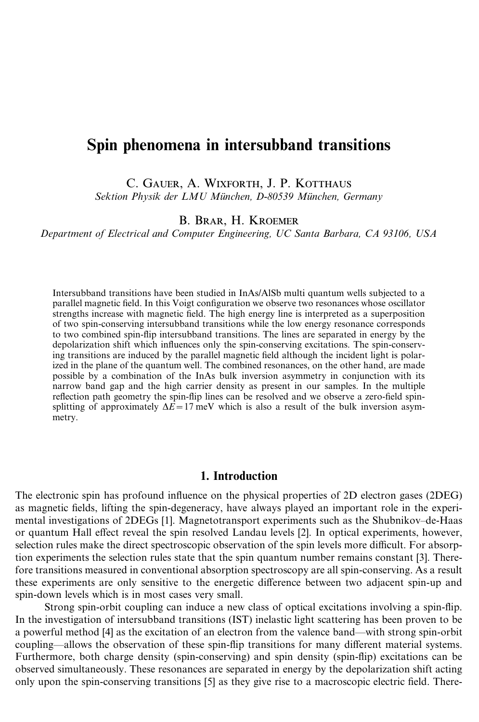# Spin phenomena in intersubband transitions

C. GAUER, A. WIXFORTH, J. P. KOTTHAUS *Sektion Physik der LMU Mu¨nchen, D-80539 Mu¨nchen, Germany*

B. BRAR, H. KROEMER

*Department of Electrical and Computer Engineering, UC Santa Barbara, CA 93106, USA*

Intersubband transitions have been studied in InAs/AlSb multi quantum wells subjected to a parallel magnetic field. In this Voigt configuration we observe two resonances whose oscillator strengths increase with magnetic field. The high energy line is interpreted as a superposition of two spin-conserving intersubband transitions while the low energy resonance corresponds to two combined spin-flip intersubband transitions. The lines are separated in energy by the depolarization shift which influences only the spin-conserving excitations. The spin-conserving transitions are induced by the parallel magnetic field although the incident light is polarized in the plane of the quantum well. The combined resonances, on the other hand, are made possible by a combination of the InAs bulk inversion asymmetry in conjunction with its narrow band gap and the high carrier density as present in our samples. In the multiple reflection path geometry the spin-flip lines can be resolved and we observe a zero-field spinsplitting of approximately  $\Delta E = 17$  meV which is also a result of the bulk inversion asymmetry.

# 1. Introduction

The electronic spin has profound influence on the physical properties of 2D electron gases (2DEG) as magnetic fields, lifting the spin-degeneracy, have always played an important role in the experimental investigations of 2DEGs [1]. Magnetotransport experiments such as the Shubnikov–de-Haas or quantum Hall effect reveal the spin resolved Landau levels [2]. In optical experiments, however, selection rules make the direct spectroscopic observation of the spin levels more difficult. For absorption experiments the selection rules state that the spin quantum number remains constant [3]. Therefore transitions measured in conventional absorption spectroscopy are all spin-conserving. As a result these experiments are only sensitive to the energetic difference between two adjacent spin-up and spin-down levels which is in most cases very small.

Strong spin-orbit coupling can induce a new class of optical excitations involving a spin-flip. In the investigation of intersubband transitions (IST) inelastic light scattering has been proven to be a powerful method [4] as the excitation of an electron from the valence band—with strong spin-orbit coupling—allows the observation of these spin-flip transitions for many different material systems. Furthermore, both charge density (spin-conserving) and spin density (spin-flip) excitations can be observed simultaneously. These resonances are separated in energy by the depolarization shift acting only upon the spin-conserving transitions [5] as they give rise to a macroscopic electric field. There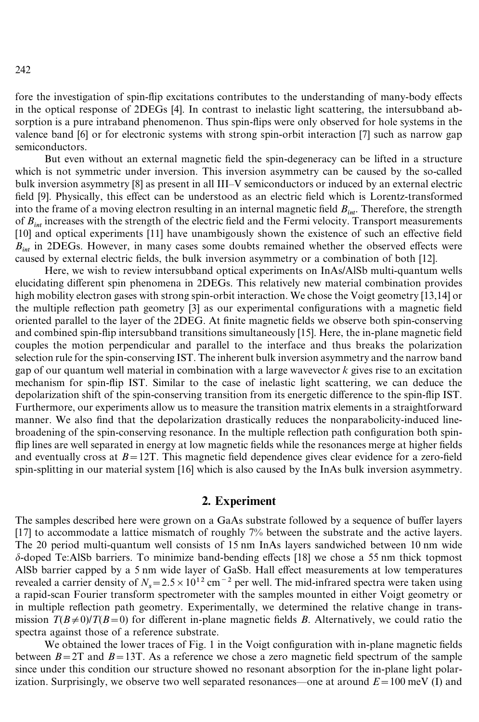fore the investigation of spin-flip excitations contributes to the understanding of many-body effects in the optical response of 2DEGs [4]. In contrast to inelastic light scattering, the intersubband absorption is a pure intraband phenomenon. Thus spin-flips were only observed for hole systems in the valence band [6] or for electronic systems with strong spin-orbit interaction [7] such as narrow gap semiconductors.

But even without an external magnetic field the spin-degeneracy can be lifted in a structure which is not symmetric under inversion. This inversion asymmetry can be caused by the so-called bulk inversion asymmetry [8] as present in all III–V semiconductors or induced by an external electric field [9]. Physically, this effect can be understood as an electric field which is Lorentz-transformed into the frame of a moving electron resulting in an internal magnetic field  $B_{int}$ . Therefore, the strength of  $B<sub>int</sub>$  increases with the strength of the electric field and the Fermi velocity. Transport measurements [10] and optical experiments [11] have unambigously shown the existence of such an effective field  $B<sub>int</sub>$  in 2DEGs. However, in many cases some doubts remained whether the observed effects were caused by external electric fields, the bulk inversion asymmetry or a combination of both [12].

Here, we wish to review intersubband optical experiments on InAs/AlSb multi-quantum wells elucidating different spin phenomena in 2DEGs. This relatively new material combination provides high mobility electron gases with strong spin-orbit interaction. We chose the Voigt geometry [13,14] or the multiple reflection path geometry [3] as our experimental configurations with a magnetic field oriented parallel to the layer of the 2DEG. At finite magnetic fields we observe both spin-conserving and combined spin-flip intersubband transitions simultaneously [15]. Here, the in-plane magnetic field couples the motion perpendicular and parallel to the interface and thus breaks the polarization selection rule for the spin-conserving IST. The inherent bulk inversion asymmetry and the narrow band gap of our quantum well material in combination with a large wavevector *k* gives rise to an excitation mechanism for spin-flip IST. Similar to the case of inelastic light scattering, we can deduce the depolarization shift of the spin-conserving transition from its energetic difference to the spin-flip IST. Furthermore, our experiments allow us to measure the transition matrix elements in a straightforward manner. We also find that the depolarization drastically reduces the nonparabolicity-induced linebroadening of the spin-conserving resonance. In the multiple reflection path configuration both spinflip lines are well separated in energy at low magnetic fields while the resonances merge at higher fields and eventually cross at  $B = 12T$ . This magnetic field dependence gives clear evidence for a zero-field spin-splitting in our material system [16] which is also caused by the InAs bulk inversion asymmetry.

## 2. Experiment

The samples described here were grown on a GaAs substrate followed by a sequence of buffer layers [17] to accommodate a lattice mismatch of roughly 7% between the substrate and the active layers. The 20 period multi-quantum well consists of 15 nm InAs layers sandwiched between 10 nm wide  $\delta$ -doped Te:AlSb barriers. To minimize band-bending effects [18] we chose a 55 nm thick topmost AlSb barrier capped by a 5 nm wide layer of GaSb. Hall effect measurements at low temperatures revealed a carrier density of  $N_s = 2.5 \times 10^{12}$  cm<sup>-2</sup> per well. The mid-infrared spectra were taken using a rapid-scan Fourier transform spectrometer with the samples mounted in either Voigt geometry or in multiple reflection path geometry. Experimentally, we determined the relative change in transmission  $T(B\neq 0)/T(B=0)$  for different in-plane magnetic fields *B*. Alternatively, we could ratio the spectra against those of a reference substrate.

We obtained the lower traces of Fig. 1 in the Voigt configuration with in-plane magnetic fields between  $B = 2T$  and  $B = 13T$ . As a reference we chose a zero magnetic field spectrum of the sample since under this condition our structure showed no resonant absorption for the in-plane light polarization. Surprisingly, we observe two well separated resonances—one at around  $E = 100$  meV (I) and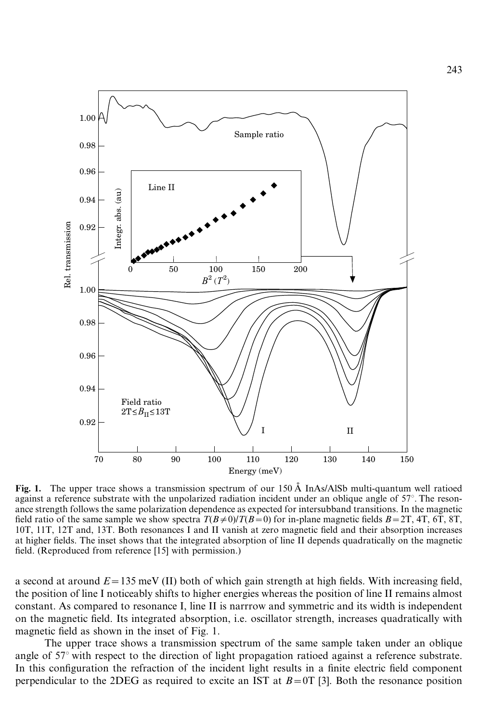

Fig. 1. The upper trace shows a transmission spectrum of our  $150 \text{ Å}$  InAs/AlSb multi-quantum well ratioed against a reference substrate with the unpolarized radiation incident under an oblique angle of 57°. The resonance strength follows the same polarization dependence as expected for intersubband transitions. In the magnetic field ratio of the same sample we show spectra  $T(B\neq 0)/T(B=0)$  for in-plane magnetic fields  $B=2T, 4T, 6T, 8T,$ 10T, 11T, 12T and, 13T. Both resonances I and II vanish at zero magnetic field and their absorption increases at higher fields. The inset shows that the integrated absorption of line II depends quadratically on the magnetic field. (Reproduced from reference [15] with permission.)

a second at around  $E = 135$  meV (II) both of which gain strength at high fields. With increasing field, the position of line I noticeably shifts to higher energies whereas the position of line II remains almost constant. As compared to resonance I, line II is narrrow and symmetric and its width is independent on the magnetic field. Its integrated absorption, i.e. oscillator strength, increases quadratically with magnetic field as shown in the inset of Fig. 1.

The upper trace shows a transmission spectrum of the same sample taken under an oblique angle of 57° with respect to the direction of light propagation ratioed against a reference substrate. In this configuration the refraction of the incident light results in a finite electric field component perpendicular to the 2DEG as required to excite an IST at  $B=0T$  [3]. Both the resonance position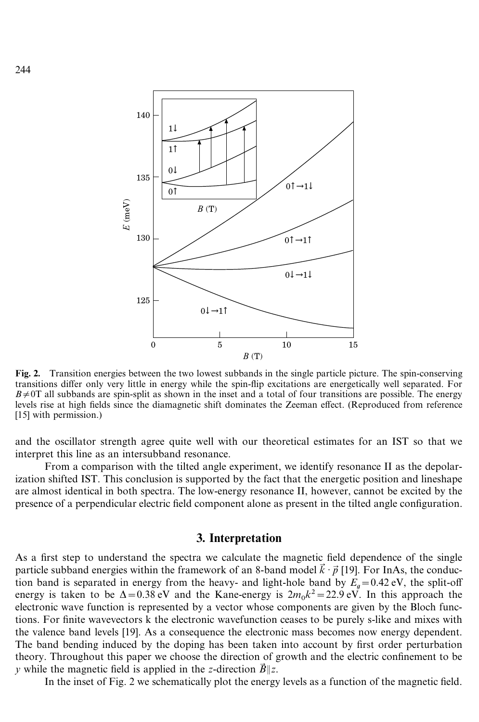

Fig. 2. Transition energies between the two lowest subbands in the single particle picture. The spin-conserving transitions differ only very little in energy while the spin-flip excitations are energetically well separated. For  $B \neq 0$ T all subbands are spin-split as shown in the inset and a total of four transitions are possible. The energy levels rise at high fields since the diamagnetic shift dominates the Zeeman effect. (Reproduced from reference [15] with permission.)

and the oscillator strength agree quite well with our theoretical estimates for an IST so that we interpret this line as an intersubband resonance.

From a comparison with the tilted angle experiment, we identify resonance II as the depolarization shifted IST. This conclusion is supported by the fact that the energetic position and lineshape are almost identical in both spectra. The low-energy resonance II, however, cannot be excited by the presence of a perpendicular electric field component alone as present in the tilted angle configuration.

#### 3. Interpretation

As a first step to understand the spectra we calculate the magnetic field dependence of the single particle subband energies within the framework of an 8-band model  $\vec{k} \cdot \vec{p}$  [19]. For InAs, the conduction band is separated in energy from the heavy- and light-hole band by  $E<sub>q</sub> = 0.42$  eV, the split-off energy is taken to be  $\Delta = 0.38$  eV and the Kane-energy is  $2m_0k^2 = 22.9$  eV. In this approach the electronic wave function is represented by a vector whose components are given by the Bloch functions. For finite wavevectors k the electronic wavefunction ceases to be purely s-like and mixes with the valence band levels [19]. As a consequence the electronic mass becomes now energy dependent. The band bending induced by the doping has been taken into account by first order perturbation theory. Throughout this paper we choose the direction of growth and the electric confinement to be *y* while the magnetic field is applied in the *z*-direction  $\vec{B}$ ||*z*.

In the inset of Fig. 2 we schematically plot the energy levels as a function of the magnetic field.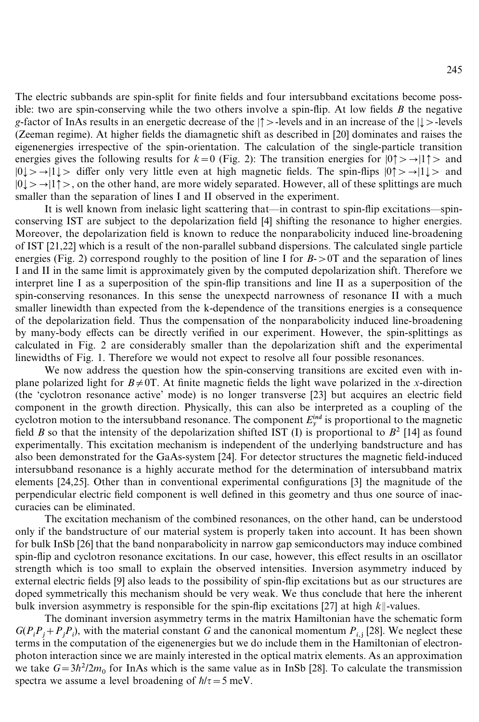The electric subbands are spin-split for finite fields and four intersubband excitations become possible: two are spin-conserving while the two others involve a spin-flip. At low fields *B* the negative *g*-factor of InAs results in an energetic decrease of the  $|\uparrow\rangle$ -levels and in an increase of the  $|\downarrow\rangle$ -levels (Zeeman regime). At higher fields the diamagnetic shift as described in [20] dominates and raises the eigenenergies irrespective of the spin-orientation. The calculation of the single-particle transition energies gives the following results for  $k=0$  (Fig. 2): The transition energies for  $|0\rangle > \rightarrow |1\rangle$  and  $|0\rangle \rightarrow |1\rangle$  differ only very little even at high magnetic fields. The spin-flips  $|0\rangle \rightarrow |1\rangle$  and  $|0|\rangle \rightarrow |1\uparrow \rangle$ , on the other hand, are more widely separated. However, all of these splittings are much smaller than the separation of lines I and II observed in the experiment.

It is well known from inelasic light scattering that—in contrast to spin-flip excitations—spinconserving IST are subject to the depolarization field [4] shifting the resonance to higher energies. Moreover, the depolarization field is known to reduce the nonparabolicity induced line-broadening of IST [21,22] which is a result of the non-parallel subband dispersions. The calculated single particle energies (Fig. 2) correspond roughly to the position of line I for  $B > 0T$  and the separation of lines I and II in the same limit is approximately given by the computed depolarization shift. Therefore we interpret line I as a superposition of the spin-flip transitions and line II as a superposition of the spin-conserving resonances. In this sense the unexpectd narrowness of resonance II with a much smaller linewidth than expected from the k-dependence of the transitions energies is a consequence of the depolarization field. Thus the compensation of the nonparabolicity induced line-broadening by many-body effects can be directly verified in our experiment. However, the spin-splittings as calculated in Fig. 2 are considerably smaller than the depolarization shift and the experimental linewidths of Fig. 1. Therefore we would not expect to resolve all four possible resonances.

We now address the question how the spin-conserving transitions are excited even with inplane polarized light for  $B \neq 0$ . At finite magnetic fields the light wave polarized in the *x*-direction (the 'cyclotron resonance active' mode) is no longer transverse [23] but acquires an electric field component in the growth direction. Physically, this can also be interpreted as a coupling of the component in the growth direction. Fhysically, this can also be interpreted as a coupling of the explotron motion to the intersubband resonance. The component  $E_y^{ind}$  is proportional to the magnetic field *B* so that the intensity of the depolarization shifted IST (I) is proportional to  $B^2$  [14] as found experimentally. This excitation mechanism is independent of the underlying bandstructure and has also been demonstrated for the GaAs-system [24]. For detector structures the magnetic field-induced intersubband resonance is a highly accurate method for the determination of intersubband matrix elements [24,25]. Other than in conventional experimental configurations [3] the magnitude of the perpendicular electric field component is well defined in this geometry and thus one source of inaccuracies can be eliminated.

The excitation mechanism of the combined resonances, on the other hand, can be understood only if the bandstructure of our material system is properly taken into account. It has been shown for bulk InSb [26] that the band nonparabolicity in narrow gap semiconductors may induce combined spin-flip and cyclotron resonance excitations. In our case, however, this effect results in an oscillator strength which is too small to explain the observed intensities. Inversion asymmetry induced by external electric fields [9] also leads to the possibility of spin-flip excitations but as our structures are doped symmetrically this mechanism should be very weak. We thus conclude that here the inherent bulk inversion asymmetry is responsible for the spin-flip excitations [27] at high  $k$ ||-values.

The dominant inversion asymmetry terms in the matrix Hamiltonian have the schematic form  $G(P_iP_j + P_jP_i)$ , with the material constant *G* and the canonical momentum  $P_{i,j}$  [28]. We neglect these terms in the computation of the eigenenergies but we do include them in the Hamiltonian of electronphoton interaction since we are mainly interested in the optical matrix elements. As an approximation we take  $G = 3h^2/2m_0$  for InAs which is the same value as in InSb [28]. To calculate the transmission spectra we assume a level broadening of  $h/\tau = 5$  meV.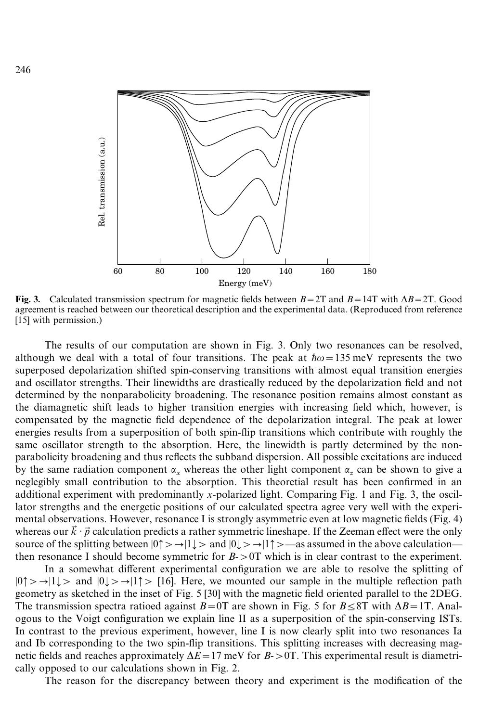

Fig. 3. Calculated transmission spectrum for magnetic fields between  $B = 2T$  and  $B = 14T$  with  $\Delta B = 2T$ . Good agreement is reached between our theoretical description and the experimental data. (Reproduced from reference [15] with permission.)

The results of our computation are shown in Fig. 3. Only two resonances can be resolved, although we deal with a total of four transitions. The peak at  $\hbar\omega = 135$  meV represents the two superposed depolarization shifted spin-conserving transitions with almost equal transition energies and oscillator strengths. Their linewidths are drastically reduced by the depolarization field and not determined by the nonparabolicity broadening. The resonance position remains almost constant as the diamagnetic shift leads to higher transition energies with increasing field which, however, is compensated by the magnetic field dependence of the depolarization integral. The peak at lower energies results from a superposition of both spin-flip transitions which contribute with roughly the same oscillator strength to the absorption. Here, the linewidth is partly determined by the nonparabolicity broadening and thus reflects the subband dispersion. All possible excitations are induced by the same radiation component  $\alpha_x$  whereas the other light component  $\alpha_z$  can be shown to give a neglegibly small contribution to the absorption. This theoretial result has been confirmed in an additional experiment with predominantly *x*-polarized light. Comparing Fig. 1 and Fig. 3, the oscillator strengths and the energetic positions of our calculated spectra agree very well with the experimental observations. However, resonance I is strongly asymmetric even at low magnetic fields (Fig. 4) whereas our  $\vec{k} \cdot \vec{p}$  calculation predicts a rather symmetric lineshape. If the Zeeman effect were the only source of the splitting between  $|0\rangle \rightarrow |1\rangle$  and  $|0\rangle \rightarrow |1\rangle$  and  $|0\rangle \rightarrow |1\rangle$  as assumed in the above calculation then resonance I should become symmetric for  $B \geq 0$  which is in clear contrast to the experiment.

In a somewhat different experimental configuration we are able to resolve the splitting of  $|0\rangle \rightarrow |1\rangle$  and  $|0\rangle \rightarrow |1\rangle$  [16]. Here, we mounted our sample in the multiple reflection path geometry as sketched in the inset of Fig. 5 [30] with the magnetic field oriented parallel to the 2DEG. The transmission spectra ratioed against  $B=0T$  are shown in Fig. 5 for  $B \leq 8T$  with  $\Delta B=1T$ . Analogous to the Voigt configuration we explain line II as a superposition of the spin-conserving ISTs. In contrast to the previous experiment, however, line I is now clearly split into two resonances Ia and Ib corresponding to the two spin-flip transitions. This splitting increases with decreasing magnetic fields and reaches approximately  $\Delta E = 17$  meV for *B*- $>$ 0T. This experimental result is diametrically opposed to our calculations shown in Fig. 2.

The reason for the discrepancy between theory and experiment is the modification of the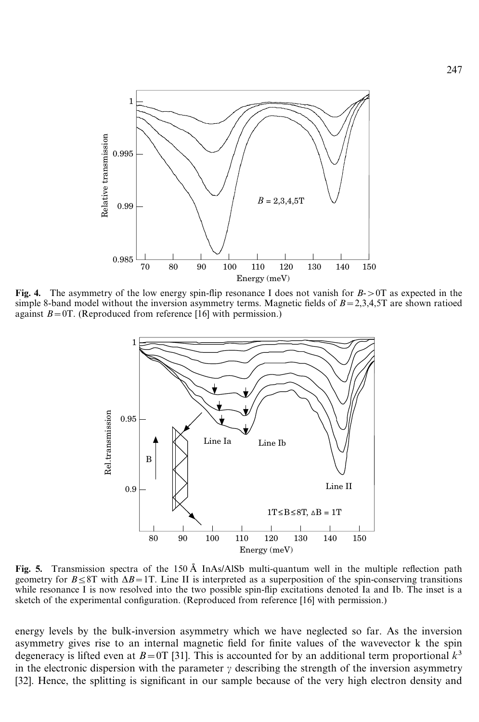

Fig. 4. The asymmetry of the low energy spin-flip resonance I does not vanish for  $B > 0$ T as expected in the simple 8-band model without the inversion asymmetry terms. Magnetic fields of  $B = 2,3,4,5T$  are shown ratioed against  $B = 0$ T. (Reproduced from reference [16] with permission.)



Fig. 5. Transmission spectra of the 150 Å InAs/AlSb multi-quantum well in the multiple reflection path geometry for  $B \leq 8T$  with  $\Delta B = 1T$ . Line II is interpreted as a superposition of the spin-conserving transitions while resonance I is now resolved into the two possible spin-flip excitations denoted Ia and Ib. The inset is a sketch of the experimental configuration. (Reproduced from reference [16] with permission.)

energy levels by the bulk-inversion asymmetry which we have neglected so far. As the inversion asymmetry gives rise to an internal magnetic field for finite values of the wavevector k the spin degeneracy is lifted even at *B* $= 0$ T [31]. This is accounted for by an additional term proportional  $k<sup>3</sup>$ in the electronic dispersion with the parameter  $\gamma$  describing the strength of the inversion asymmetry [32]. Hence, the splitting is significant in our sample because of the very high electron density and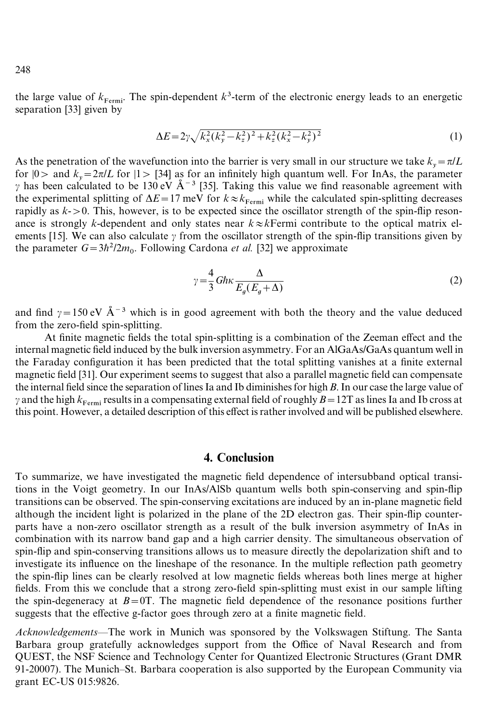the large value of  $k_{\text{Fermi}}$ . The spin-dependent  $k^3$ -term of the electronic energy leads to an energetic separation [33] given by

$$
\Delta E = 2\gamma \sqrt{k_x^2 (k_y^2 - k_z^2)^2 + k_z^2 (k_x^2 - k_y^2)^2}
$$
 (1)

As the penetration of the wavefunction into the barrier is very small in our structure we take  $k_y = \pi/L$ for  $|0\rangle$  and  $k_y = 2\pi/L$  for  $|1\rangle$  [34] as for an infinitely high quantum well. For InAs, the parameter  $\gamma$  has been calculated to be 130 eV  $\text{\AA}^{-3}$  [35]. Taking this value we find reasonable agreement with the experimental splitting of  $\Delta E = 17$  meV for  $k \approx k_{\text{Fermi}}$  while the calculated spin-splitting decreases rapidly as  $k > 0$ . This, however, is to be expected since the oscillator strength of the spin-flip resonance is strongly *k*-dependent and only states near  $k \approx k$ Fermi contribute to the optical matrix elements [15]. We can also calculate  $\gamma$  from the oscillator strength of the spin-flip transitions given by the parameter  $G = 3h^2/2m_0$ . Following Cardona *et al.* [32] we approximate

$$
\gamma = \frac{4}{3} G \hbar \kappa \frac{\Delta}{E_a (E_a + \Delta)}\tag{2}
$$

and find  $\gamma=150$  eV  $\AA^{-3}$  which is in good agreement with both the theory and the value deduced from the zero-field spin-splitting.

At finite magnetic fields the total spin-splitting is a combination of the Zeeman effect and the internal magnetic field induced by the bulk inversion asymmetry. For an AlGaAs/GaAs quantum well in the Faraday configuration it has been predicted that the total splitting vanishes at a finite external magnetic field [31]. Our experiment seems to suggest that also a parallel magnetic field can compensate the internal field since the separation of lines Ia and Ib diminishes for high B. In our case the large value of  $\gamma$  and the high  $k_{\text{Fermi}}$  results in a compensating external field of roughly  $B = 12T$  as lines Ia and Ib cross at this point. However, a detailed description of this effect isratherinvolved and will be published elsewhere.

# 4. Conclusion

To summarize, we have investigated the magnetic field dependence of intersubband optical transitions in the Voigt geometry. In our InAs/AlSb quantum wells both spin-conserving and spin-flip transitions can be observed. The spin-conserving excitations are induced by an in-plane magnetic field although the incident light is polarized in the plane of the 2D electron gas. Their spin-flip counterparts have a non-zero oscillator strength as a result of the bulk inversion asymmetry of InAs in combination with its narrow band gap and a high carrier density. The simultaneous observation of spin-flip and spin-conserving transitions allows us to measure directly the depolarization shift and to investigate its influence on the lineshape of the resonance. In the multiple reflection path geometry the spin-flip lines can be clearly resolved at low magnetic fields whereas both lines merge at higher fields. From this we conclude that a strong zero-field spin-splitting must exist in our sample lifting the spin-degeneracy at  $B=0$ T. The magnetic field dependence of the resonance positions further suggests that the effective g-factor goes through zero at a finite magnetic field.

*Acknowledgements—*The work in Munich was sponsored by the Volkswagen Stiftung. The Santa Barbara group gratefully acknowledges support from the Office of Naval Research and from QUEST, the NSF Science and Technology Center for Quantized Electronic Structures (Grant DMR 91-20007). The Munich–St. Barbara cooperation is also supported by the European Community via grant EC-US 015:9826.